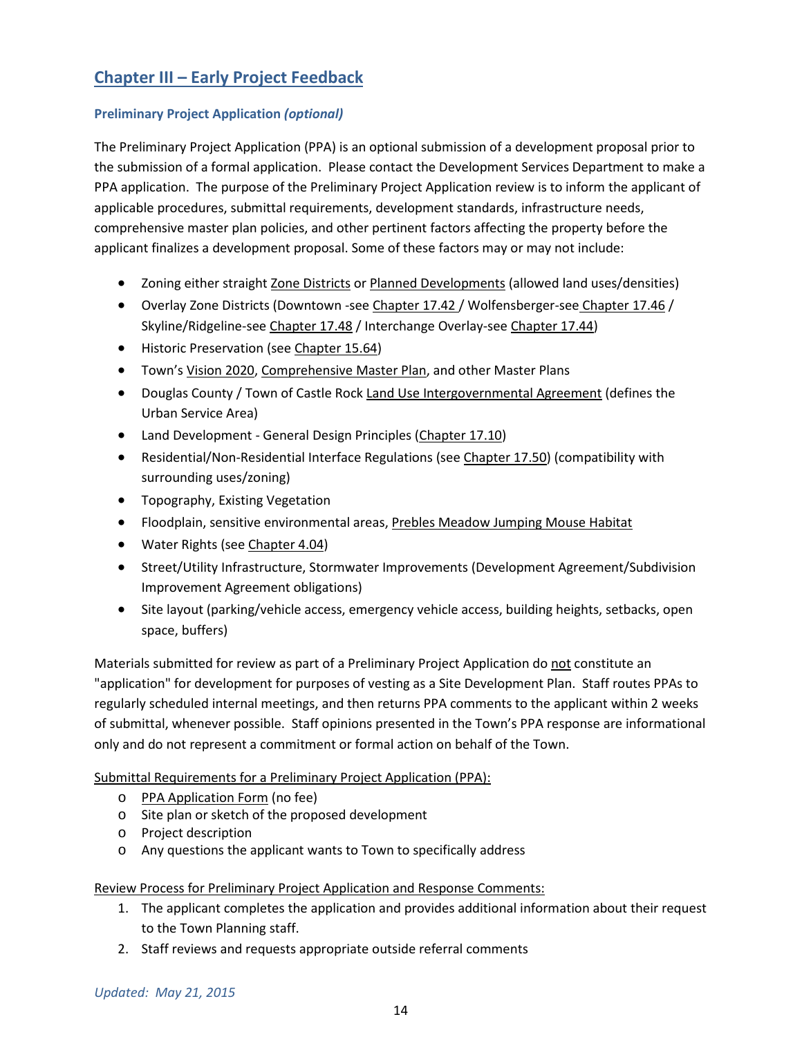# **Chapter III – Early Project Feedback**

## **Preliminary Project Application** *(optional)*

The Preliminary Project Application (PPA) is an optional submission of a development proposal prior to the submission of a formal application. Please contact the Development Services Department to make a PPA application. The purpose of the Preliminary Project Application review is to inform the applicant of applicable procedures, submittal requirements, development standards, infrastructure needs, comprehensive master plan policies, and other pertinent factors affecting the property before the applicant finalizes a development proposal. Some of these factors may or may not include:

- Zoning either straight Zone Districts or Planned Developments (allowed land uses/densities)
- Overlay Zone Districts (Downtown -see Chapter 17.42 / Wolfensberger-see Chapter 17.46 / Skyline/Ridgeline-see Chapter 17.48 / Interchange Overlay-see Chapter 17.44)
- Historic Preservation (see Chapter 15.64)
- Town's Vision 2020, Comprehensive Master Plan, and other Master Plans
- Douglas County / Town of Castle Rock Land Use Intergovernmental Agreement (defines the Urban Service Area)
- Land Development General Design Principles (Chapter 17.10)
- Residential/Non-Residential Interface Regulations (see Chapter 17.50) (compatibility with surrounding uses/zoning)
- Topography, Existing Vegetation
- Floodplain, sensitive environmental areas, Prebles Meadow Jumping Mouse Habitat
- Water Rights (see Chapter 4.04)
- Street/Utility Infrastructure, Stormwater Improvements (Development Agreement/Subdivision Improvement Agreement obligations)
- Site layout (parking/vehicle access, emergency vehicle access, building heights, setbacks, open space, buffers)

Materials submitted for review as part of a Preliminary Project Application do not constitute an "application" for development for purposes of vesting as a Site Development Plan. Staff routes PPAs to regularly scheduled internal meetings, and then returns PPA comments to the applicant within 2 weeks of submittal, whenever possible. Staff opinions presented in the Town's PPA response are informational only and do not represent a commitment or formal action on behalf of the Town.

Submittal Requirements for a Preliminary Project Application (PPA):

- o PPA Application Form (no fee)
- o Site plan or sketch of the proposed development
- o Project description
- o Any questions the applicant wants to Town to specifically address

Review Process for Preliminary Project Application and Response Comments:

- 1. The applicant completes the application and provides additional information about their request to the Town Planning staff.
- 2. Staff reviews and requests appropriate outside referral comments